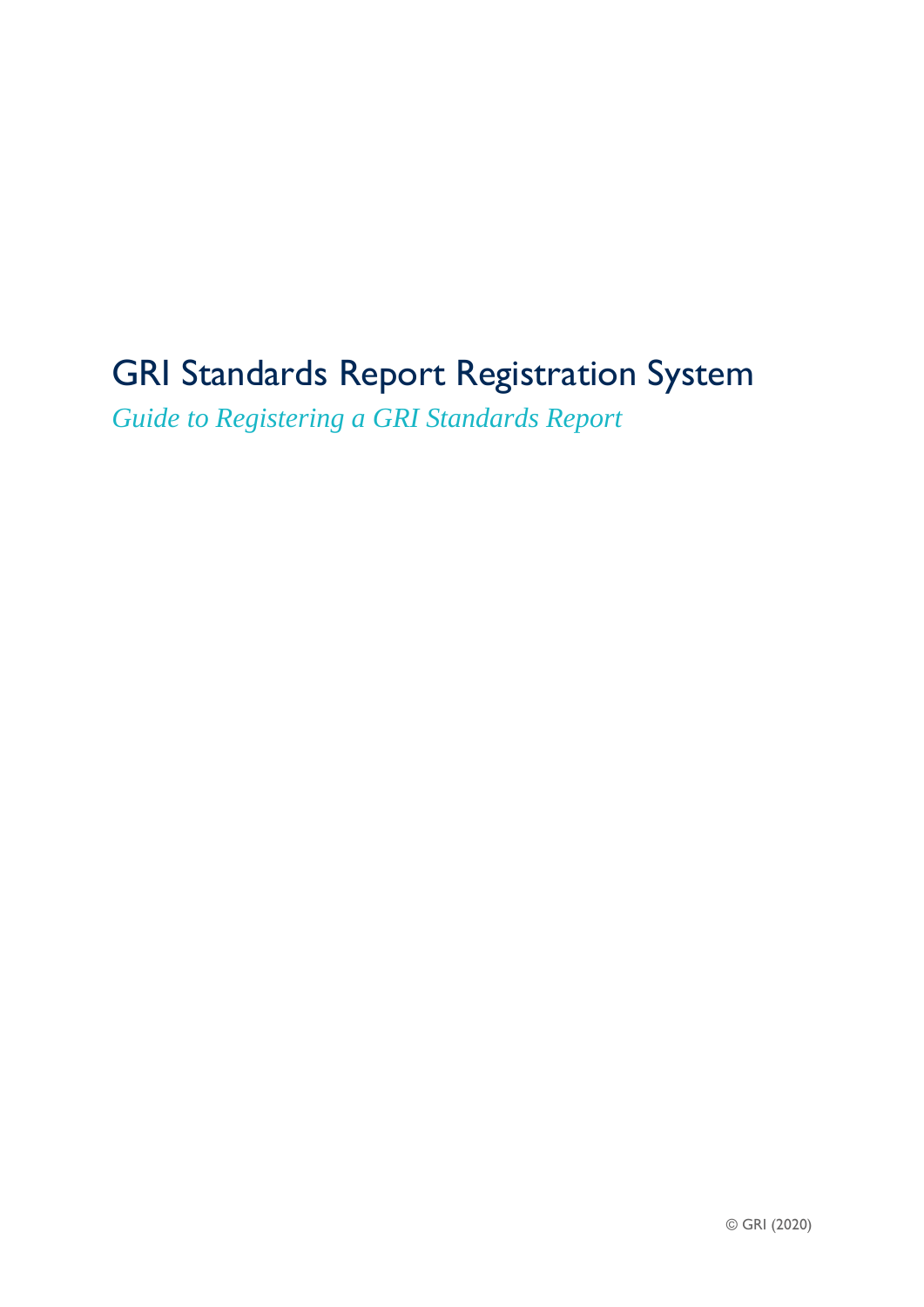# GRI Standards Report Registration System

*Guide to Registering a GRI Standards Report*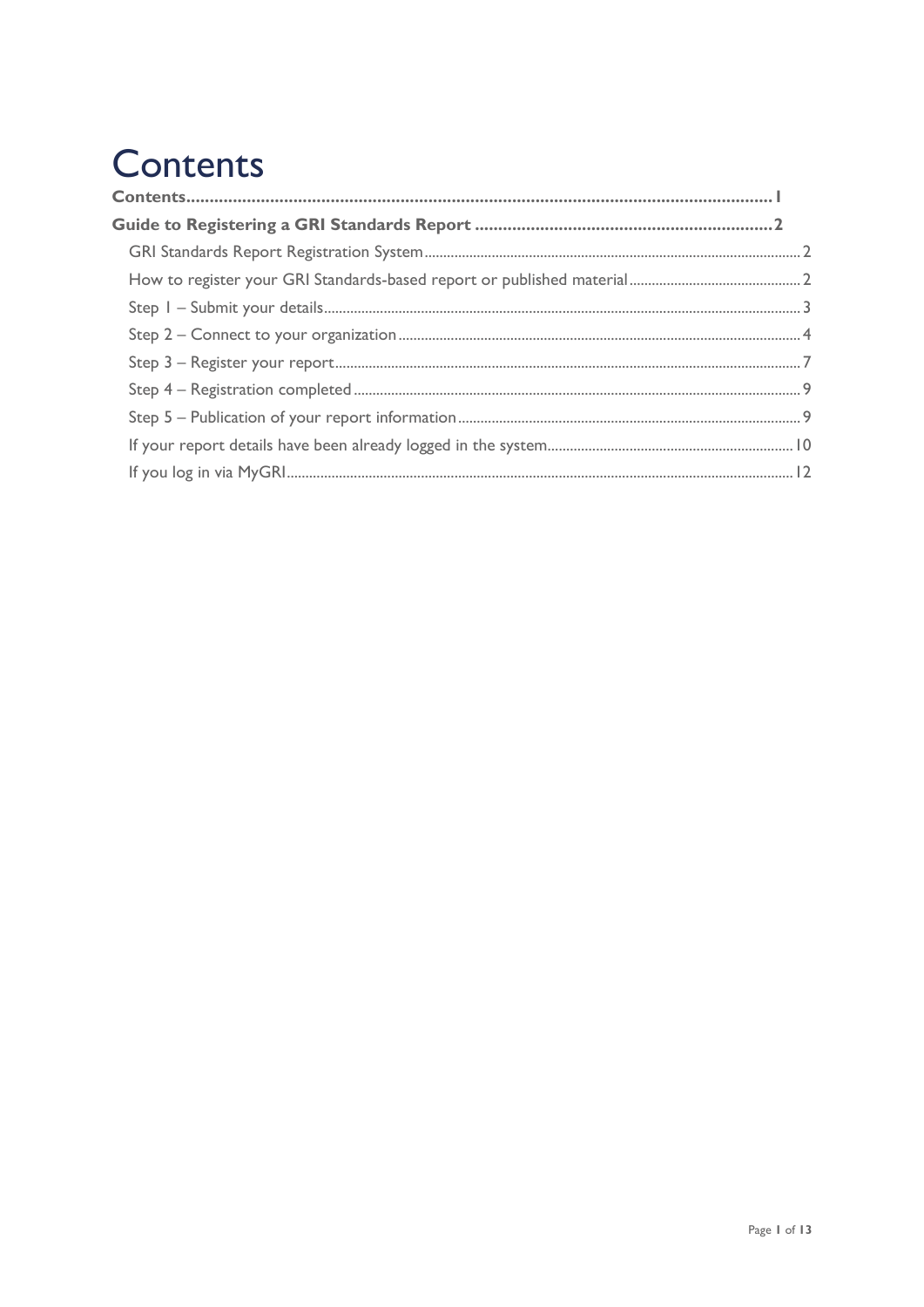# <span id="page-1-0"></span>**Contents**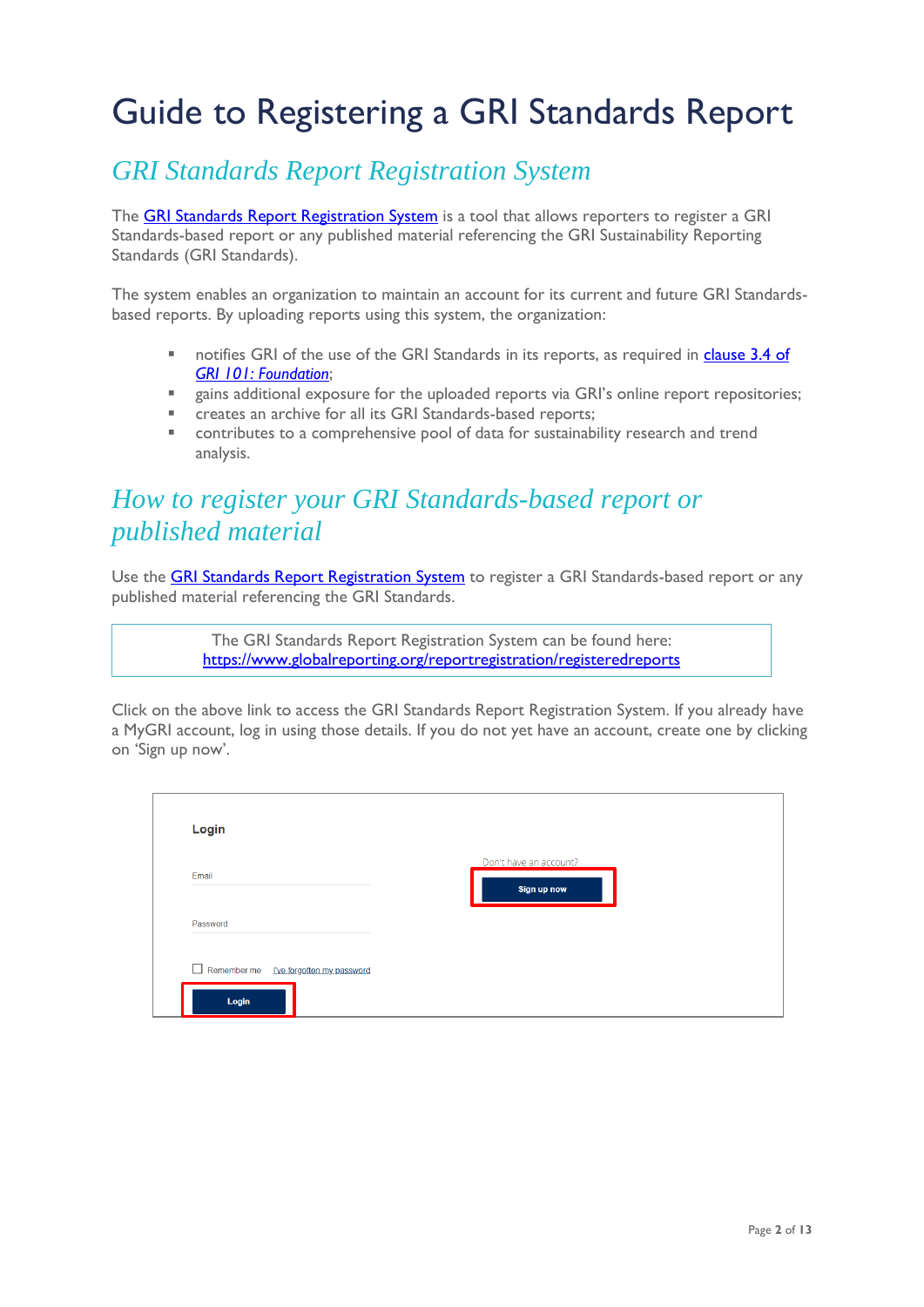# <span id="page-2-0"></span>Guide to Registering a GRI Standards Report

### <span id="page-2-1"></span>*GRI Standards Report Registration System*

The **[GRI Standards Report Registration System](https://www.globalreporting.org/reportregistration/registeredreports)** is a tool that allows reporters to register a GRI Standards-based report or any published material referencing the GRI Sustainability Reporting Standards (GRI Standards).

The system enables an organization to maintain an account for its current and future GRI Standardsbased reports. By uploading reports using this system, the organization:

- notifies GRI of the use of the GRI Standards in its reports, as required in clause 3.4 of *[GRI 101: Foundation](https://www.globalreporting.org/standards/media/1036/gri-101-foundation-2016.pdf)*;
- gains additional exposure for the uploaded reports via GRI's online report repositories;
- creates an archive for all its GRI Standards-based reports;
- contributes to a comprehensive pool of data for sustainability research and trend analysis.

# <span id="page-2-2"></span>*How to register your GRI Standards-based report or published material*

Use the **[GRI Standards Report Registration System](https://www.globalreporting.org/reportregistration/registeredreports)** to register a GRI Standards-based report or any published material referencing the GRI Standards.

> The GRI Standards Report Registration System can be found here: <https://www.globalreporting.org/reportregistration/registeredreports>

Click on the above link to access the GRI Standards Report Registration System. If you already have a MyGRI account, log in using those details. If you do not yet have an account, create one by clicking on 'Sign up now'.

| Login                                           |                                       |
|-------------------------------------------------|---------------------------------------|
| Email                                           | Don't have an account?<br>Sign up now |
| Password                                        |                                       |
| Remember me  Uve forgotten my password<br>Login |                                       |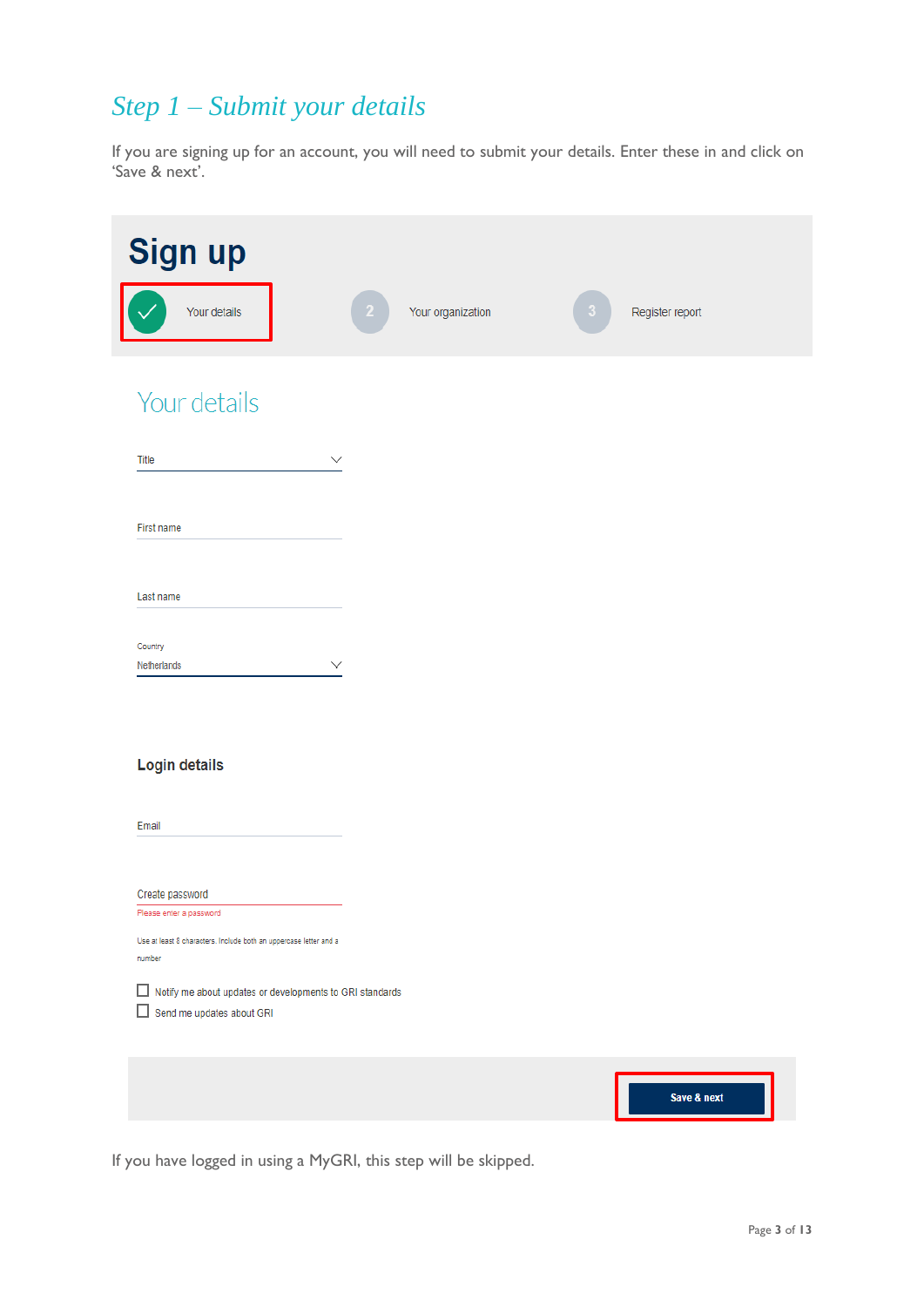# <span id="page-3-0"></span>*Step 1 – Submit your details*

If you are signing up for an account, you will need to submit your details. Enter these in and click on 'Save & next'.

| Sign up                                                                                    |                   |                 |
|--------------------------------------------------------------------------------------------|-------------------|-----------------|
| Your details                                                                               | Your organization | Register report |
| Your details                                                                               |                   |                 |
| Title<br>$\checkmark$                                                                      |                   |                 |
| First name                                                                                 |                   |                 |
| Last name                                                                                  |                   |                 |
| Country<br>Netherlands<br>$\checkmark$                                                     |                   |                 |
|                                                                                            |                   |                 |
| <b>Login details</b>                                                                       |                   |                 |
| Email                                                                                      |                   |                 |
| Create password<br>Please enter a password                                                 |                   |                 |
| Use at least 8 characters. Include both an uppercase letter and a<br>number                |                   |                 |
| Notify me about updates or developments to GRI standards<br>Send me updates about GRI<br>□ |                   |                 |
|                                                                                            |                   | Save & next     |
|                                                                                            |                   |                 |

If you have logged in using a MyGRI, this step will be skipped.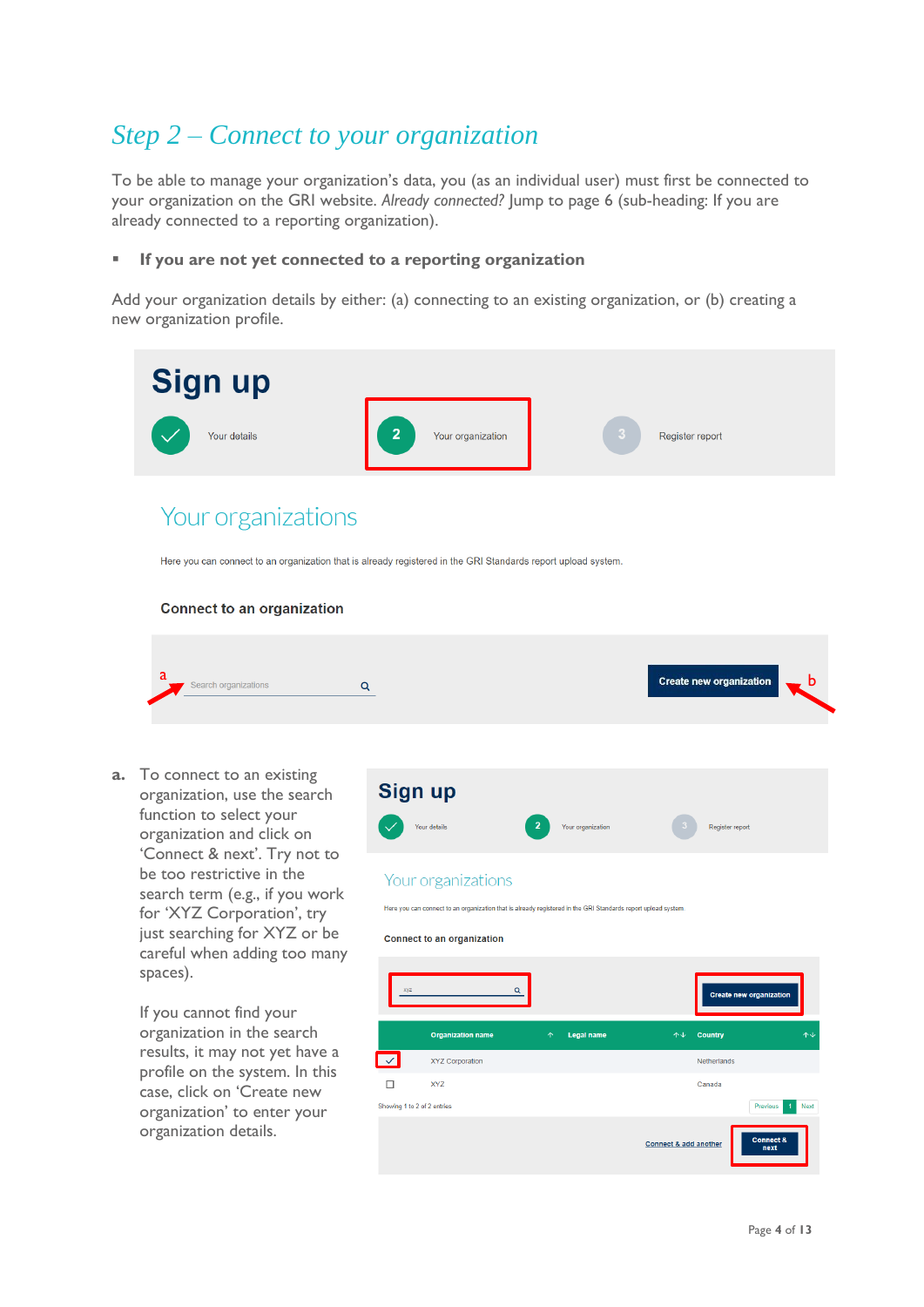# <span id="page-4-0"></span>*Step 2 – Connect to your organization*

To be able to manage your organization's data, you (as an individual user) must first be connected to your organization on the GRI website. *Already connected?* Jump to page 6 (sub-heading: If you are already connected to a reporting organization).

### If you are not yet connected to a reporting organization

Add your organization details by either: (a) connecting to an existing organization, or (b) creating a new organization profile.



#### **Connect to an organization**

| Create new organization<br>Search organizations |
|-------------------------------------------------|
|-------------------------------------------------|

**a.** To connect to an existing organization, use the search function to select your organization and click on 'Connect & next'. Try not to be too restrictive in the search term (e.g., if you work for 'XYZ Corporation', try just searching for XYZ or be careful when adding too many spaces).

> If you cannot find your organization in the search results, it may not yet have a profile on the system. In this case, click on 'Create new organization' to enter your organization details.

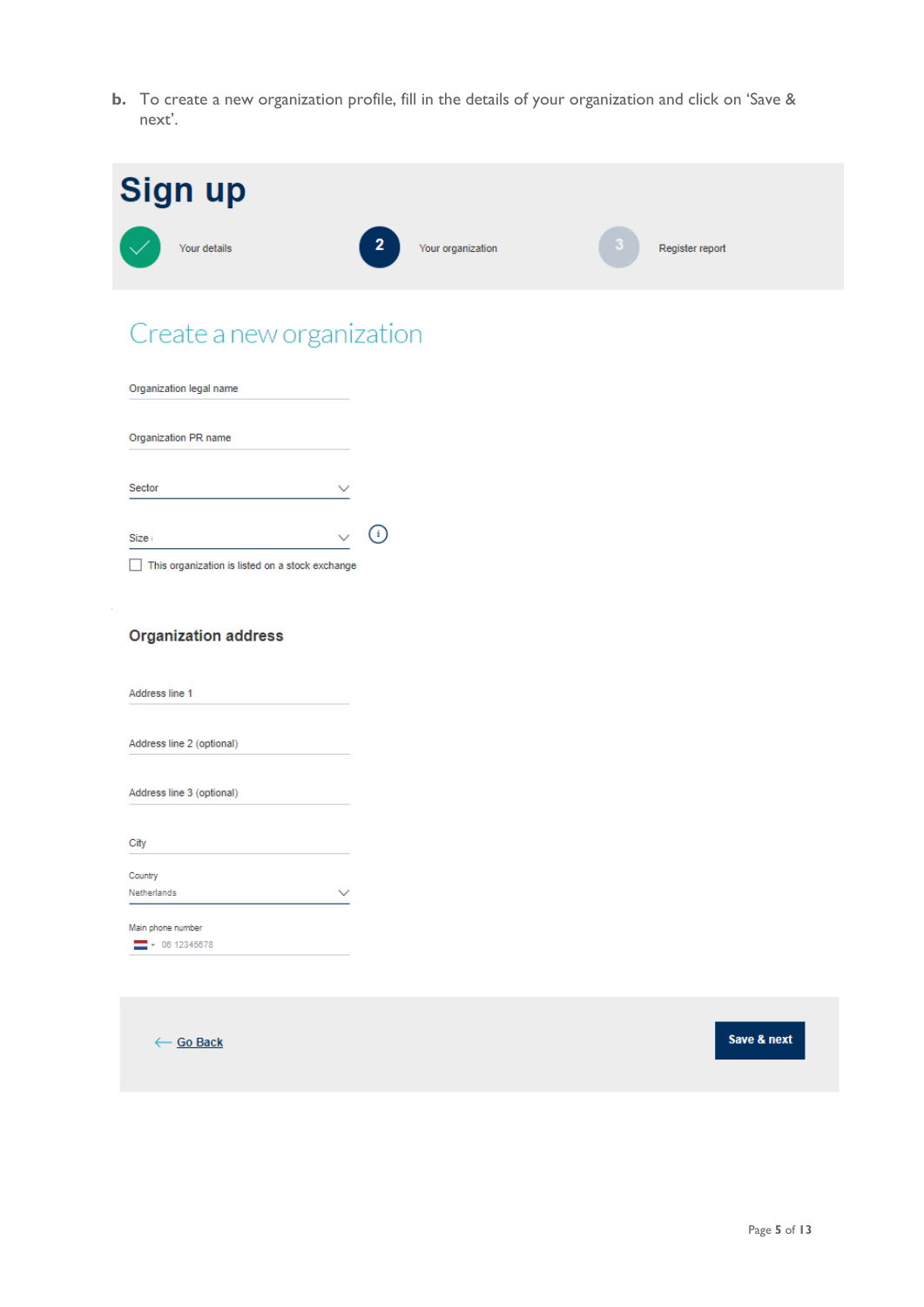**b.** To create a new organization profile, fill in the details of your organization and click on 'Save & next'.

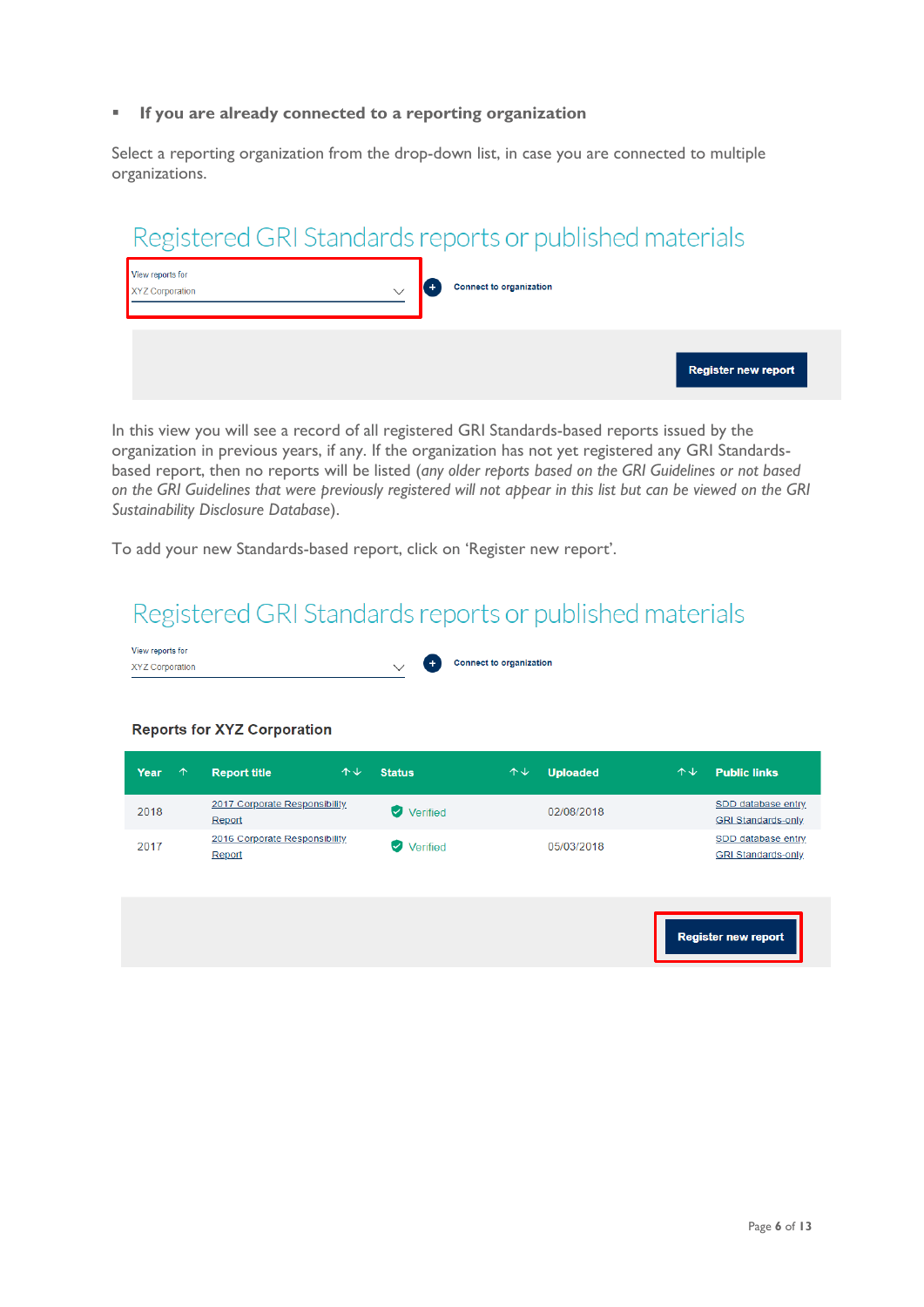### ▪ **If you are already connected to a reporting organization**

Select a reporting organization from the drop-down list, in case you are connected to multiple organizations.

|                                            | Registered GRI Standards reports or published materials |                            |
|--------------------------------------------|---------------------------------------------------------|----------------------------|
| View reports for<br><b>XYZ Corporation</b> | Connect to organization                                 |                            |
|                                            |                                                         | <b>Register new report</b> |

In this view you will see a record of all registered GRI Standards-based reports issued by the organization in previous years, if any. If the organization has not yet registered any GRI Standardsbased report, then no reports will be listed (*any older reports based on the GRI Guidelines or not based on the GRI Guidelines that were previously registered will not appear in this list but can be viewed on the GRI Sustainability Disclosure Database*).

To add your new Standards-based report, click on 'Register new report'.

# Registered GRI Standards reports or published materials



| Year<br>$\uparrow$ | <b>Report title</b>                     | $\uparrow \downarrow$<br><b>Status</b> | 个↓ | <b>Uploaded</b> | $\uparrow \downarrow$ | <b>Public links</b>                             |
|--------------------|-----------------------------------------|----------------------------------------|----|-----------------|-----------------------|-------------------------------------------------|
| 2018               | 2017 Corporate Responsibility<br>Report | Verified<br>Ø                          |    | 02/08/2018      |                       | SDD database entry<br><b>GRI Standards-only</b> |
| 2017               | 2016 Corporate Responsibility<br>Report | $\omega$<br>Verified                   |    | 05/03/2018      |                       | SDD database entry<br><b>GRI Standards-only</b> |
|                    |                                         |                                        |    |                 |                       | <b>Register new report</b>                      |

### **Reports for XYZ Corporation**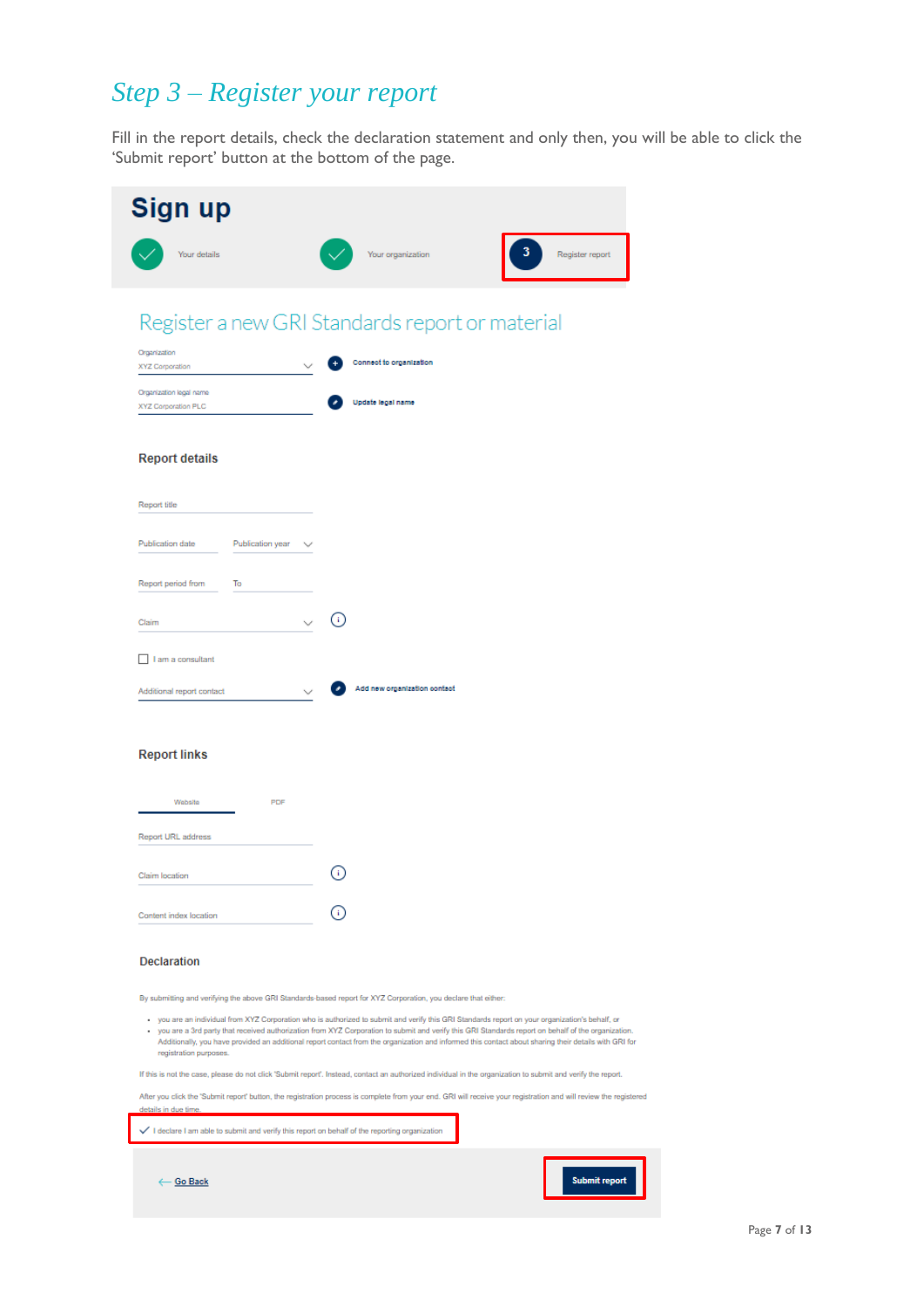# <span id="page-7-0"></span>*Step 3 – Register your report*

Fill in the report details, check the declaration statement and only then, you will be able to click the 'Submit report' button at the bottom of the page.

| Sign up                                                                                      |                                                                                                                                                                                                                                                                                                                                                                                                                                                              |
|----------------------------------------------------------------------------------------------|--------------------------------------------------------------------------------------------------------------------------------------------------------------------------------------------------------------------------------------------------------------------------------------------------------------------------------------------------------------------------------------------------------------------------------------------------------------|
| Your details                                                                                 | Register report<br>Your organization                                                                                                                                                                                                                                                                                                                                                                                                                         |
|                                                                                              | Register a new GRI Standards report or material                                                                                                                                                                                                                                                                                                                                                                                                              |
| Organization<br><b>XYZ Corporation</b>                                                       | Connect to organization                                                                                                                                                                                                                                                                                                                                                                                                                                      |
| Organization legal name<br>XYZ Corporation PLC                                               | Update legal name                                                                                                                                                                                                                                                                                                                                                                                                                                            |
| <b>Report details</b>                                                                        |                                                                                                                                                                                                                                                                                                                                                                                                                                                              |
| Report title                                                                                 |                                                                                                                                                                                                                                                                                                                                                                                                                                                              |
| Publication date<br>Publication year                                                         |                                                                                                                                                                                                                                                                                                                                                                                                                                                              |
| Report period from<br>To                                                                     | ⊙                                                                                                                                                                                                                                                                                                                                                                                                                                                            |
| Claim<br>I am a consultant                                                                   |                                                                                                                                                                                                                                                                                                                                                                                                                                                              |
| Additional report contact                                                                    | Add new organization contact                                                                                                                                                                                                                                                                                                                                                                                                                                 |
| <b>Report links</b><br>PDF<br>Wohsito                                                        |                                                                                                                                                                                                                                                                                                                                                                                                                                                              |
| Report URL address                                                                           |                                                                                                                                                                                                                                                                                                                                                                                                                                                              |
| Claim location                                                                               | ⊙                                                                                                                                                                                                                                                                                                                                                                                                                                                            |
| Content index location                                                                       |                                                                                                                                                                                                                                                                                                                                                                                                                                                              |
| <b>Declaration</b>                                                                           |                                                                                                                                                                                                                                                                                                                                                                                                                                                              |
|                                                                                              | By submitting and verifying the above GRI Standards-based report for XYZ Corporation, you declare that either:                                                                                                                                                                                                                                                                                                                                               |
| ٠<br>registration purposes.                                                                  | you are an individual from XYZ Corporation who is authorized to submit and verify this GRI Standards report on your organization's behalf, or<br>you are a 3rd party that received authorization from XYZ Corporation to submit and verify this GRI Standards report on behalf of the organization.<br>Additionally, you have provided an additional report contact from the organization and informed this contact about sharing their details with GRI for |
|                                                                                              | If this is not the case, please do not click 'Submit report'. Instead, contact an authorized individual in the organization to submit and verify the report.                                                                                                                                                                                                                                                                                                 |
| details in due time.                                                                         | After you click the "Submit report" button, the registration process is complete from your end. GRI will receive your registration and will review the registered                                                                                                                                                                                                                                                                                            |
| I declare I am able to submit and verify this report on behalf of the reporting organization |                                                                                                                                                                                                                                                                                                                                                                                                                                                              |
| ← Go Back                                                                                    | <b>Submit report</b>                                                                                                                                                                                                                                                                                                                                                                                                                                         |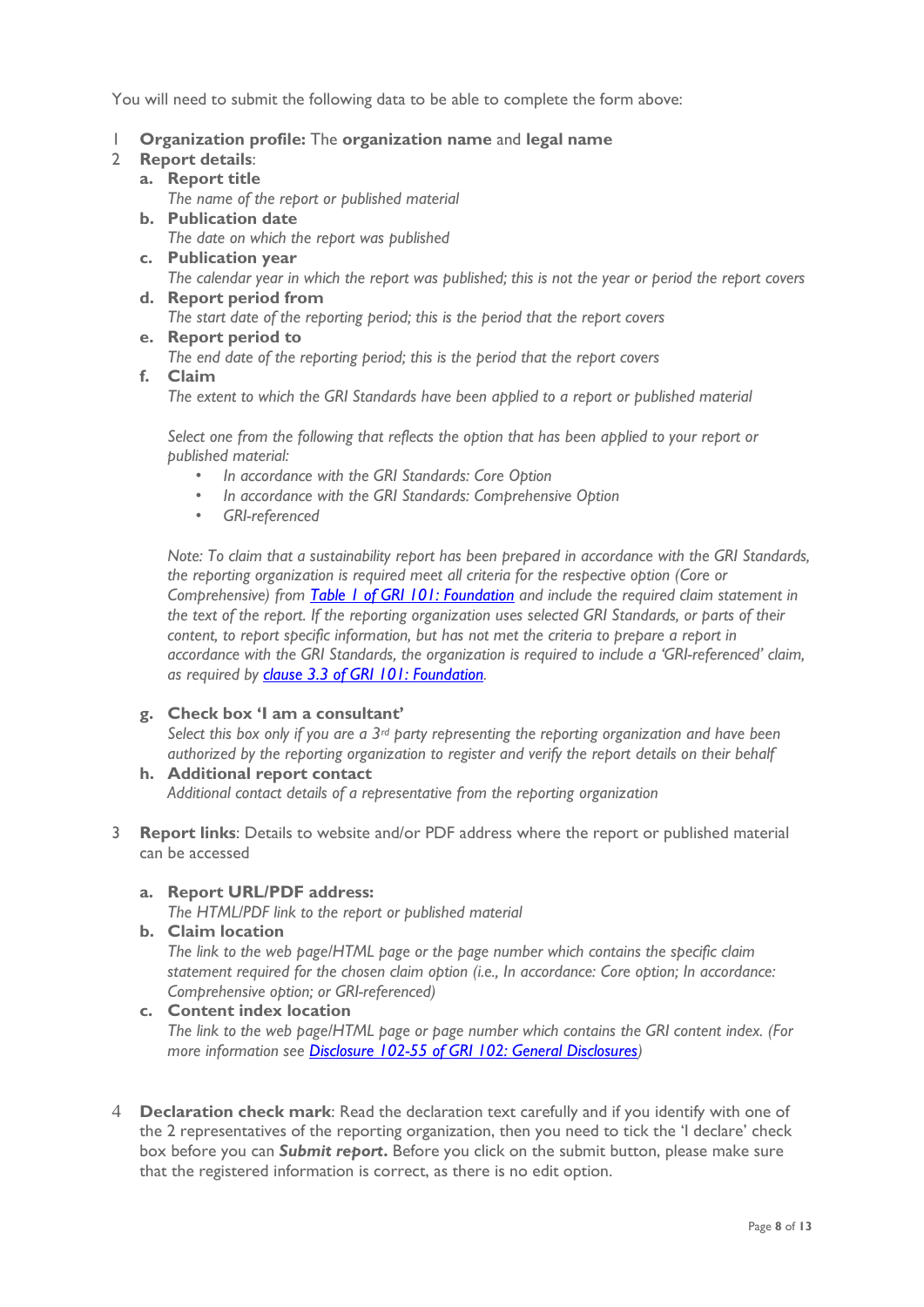You will need to submit the following data to be able to complete the form above:

- 1 **Organization profile:** The **organization name** and **legal name**
- 2 **Report details**:
	- **a. Report title**

*The name of the report or published material*

- **b. Publication date** *The date on which the report was published*
- **c. Publication year** *The calendar year in which the report was published; this is not the year or period the report covers* **d. Report period from**
	- *The start date of the reporting period; this is the period that the report covers*
- **e. Report period to** *The end date of the reporting period; this is the period that the report covers*
- **f. Claim**

*The extent to which the GRI Standards have been applied to a report or published material* 

*Select one from the following that reflects the option that has been applied to your report or published material:*

- *In accordance with the GRI Standards: Core Option*
- *In accordance with the GRI Standards: Comprehensive Option*
- *GRI-referenced*

*Note: To claim that a sustainability report has been prepared in accordance with the GRI Standards, the reporting organization is required meet all criteria for the respective option (Core or Comprehensive) from [Table 1 of GRI 101: Foundation](https://www.globalreporting.org/standards/media/1036/gri-101-foundation-2016.pdf#page=23) and include the required claim statement in the text of the report. If the reporting organization uses selected GRI Standards, or parts of their content, to report specific information, but has not met the criteria to prepare a report in accordance with the GRI Standards, the organization is required to include a 'GRI-referenced' claim, as required by [clause 3.3 of GRI 101: Foundation.](https://www.globalreporting.org/standards/media/1036/gri-101-foundation-2016.pdf#page=25)*

### **g. Check box 'I am a consultant'**

*Select this box only if you are a 3rd party representing the reporting organization and have been authorized by the reporting organization to register and verify the report details on their behalf*

- **h. Additional report contact** *Additional contact details of a representative from the reporting organization*
- 3 **Report links**: Details to website and/or PDF address where the report or published material can be accessed
	- **a. Report URL/PDF address:**

*The HTML/PDF link to the report or published material*

**b. Claim location**

*The link to the web page/HTML page or the page number which contains the specific claim statement required for the chosen claim option (i.e., In accordance: Core option; In accordance: Comprehensive option; or GRI-referenced)* 

- **c. Content index location** *The link to the web page/HTML page or page number which contains the GRI content index. (For more information see [Disclosure 102-55 of GRI 102: General Disclosures\)](https://www.globalreporting.org/standards/media/1037/gri-102-general-disclosures-2016.pdf#page=38)*
- 4 **Declaration check mark**: Read the declaration text carefully and if you identify with one of the 2 representatives of the reporting organization, then you need to tick the 'I declare' check box before you can *Submit report***.** Before you click on the submit button, please make sure that the registered information is correct, as there is no edit option.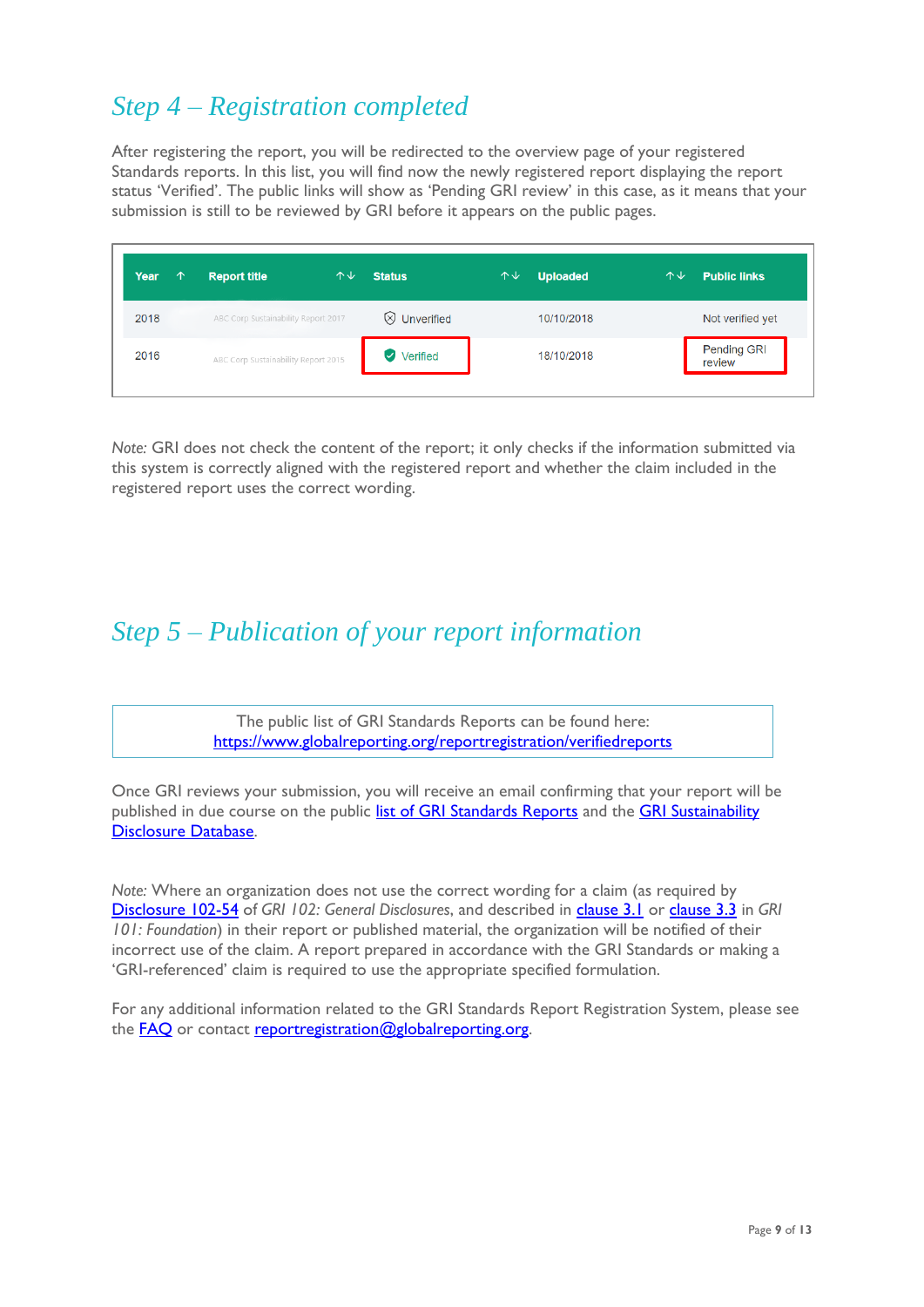# <span id="page-9-0"></span>*Step 4 – Registration completed*

After registering the report, you will be redirected to the overview page of your registered Standards reports. In this list, you will find now the newly registered report displaying the report status 'Verified'. The public links will show as 'Pending GRI review' in this case, as it means that your submission is still to be reviewed by GRI before it appears on the public pages.

| <b>Year</b><br>↑ | <b>Report title</b>                 | 个少 | <b>Status</b>        | 个↓ | <b>Uploaded</b> | 个↓ | <b>Public links</b>          |
|------------------|-------------------------------------|----|----------------------|----|-----------------|----|------------------------------|
| 2018             | ABC Corp Sustainability Report 2017 |    | $\otimes$ Unverified |    | 10/10/2018      |    | Not verified yet             |
| 2016             | ABC Corp Sustainability Report 2015 |    | <b>Verified</b>      |    | 18/10/2018      |    | <b>Pending GRI</b><br>review |
|                  |                                     |    |                      |    |                 |    |                              |

*Note:* GRI does not check the content of the report; it only checks if the information submitted via this system is correctly aligned with the registered report and whether the claim included in the registered report uses the correct wording.

### <span id="page-9-1"></span>*Step 5 – Publication of your report information*

The public list of GRI Standards Reports can be found here: https://www.globalreporting.org/reportregistration/verifiedreports

Once GRI reviews your submission, you will receive an email confirming that your report will be published in due course on the public [list of GRI Standards Reports](https://www.globalreporting.org/reportregistration/verifiedreports) and the GRI Sustainability [Disclosure Database.](http://database.globalreporting.org/)

*Note:* Where an organization does not use the correct wording for a claim (as required by [Disclosure 102-54](https://www.globalreporting.org/standards/media/1037/gri-102-general-disclosures-2016.pdf#page=37) of *GRI 102: General Disclosures*, and described in [clause 3.1](https://www.globalreporting.org/standards/media/1036/gri-101-foundation-2016.pdf#page=22) or [clause 3.3](https://www.globalreporting.org/standards/media/1036/gri-101-foundation-2016.pdf#page=25) in *GRI 101: Foundation*) in their report or published material, the organization will be notified of their incorrect use of the claim. A report prepared in accordance with the GRI Standards or making a 'GRI-referenced' claim is required to use the appropriate specified formulation.

For any additional information related to the GRI Standards Report Registration System, please see the **FAQ** or contact [reportregistration@globalreporting.org.](mailto:standards@globalreporting.org)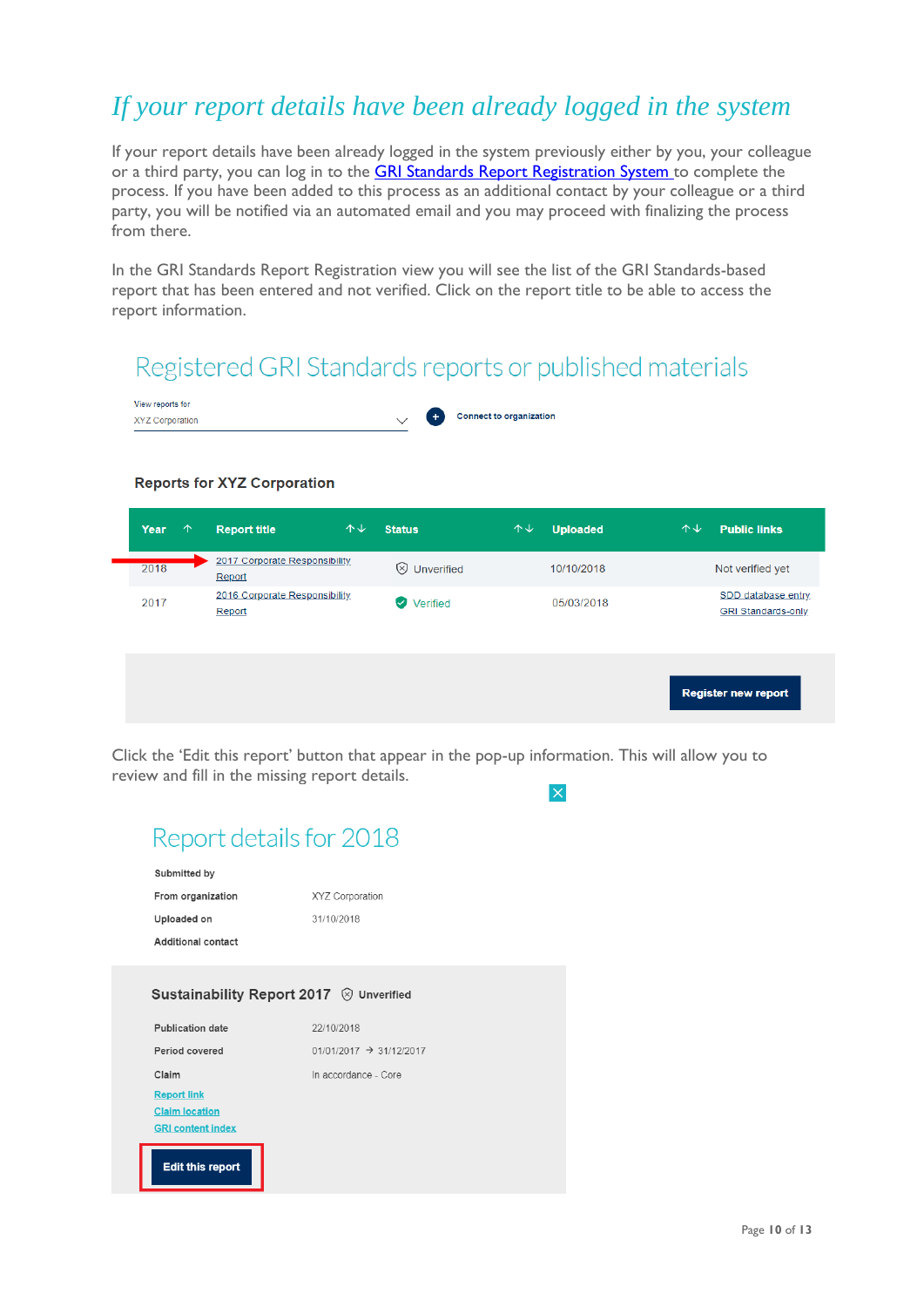# <span id="page-10-0"></span>*If your report details have been already logged in the system*

If your report details have been already logged in the system previously either by you, your colleague or a third party, you can log in to the **GRI Standards Report Registration System** to complete the process. If you have been added to this process as an additional contact by your colleague or a third party, you will be notified via an automated email and you may proceed with finalizing the process from there.

In the GRI Standards Report Registration view you will see the list of the GRI Standards-based report that has been entered and not verified. Click on the report title to be able to access the report information.

# Registered GRI Standards reports or published materials



### **Reports for XYZ Corporation**

| Year | $\uparrow$ | <b>Report title</b>                     | 个↓ | <b>Status</b>        | $\uparrow \downarrow$ | <b>Uploaded</b> | 个业 | <b>Public links</b>                             |
|------|------------|-----------------------------------------|----|----------------------|-----------------------|-----------------|----|-------------------------------------------------|
| 2018 |            | 2017 Corporate Responsibility<br>Report |    | $\otimes$ Unverified |                       | 10/10/2018      |    | Not verified yet                                |
| 2017 |            | 2016 Corporate Responsibility<br>Report |    | Verified             |                       | 05/03/2018      |    | SDD database entry<br><b>GRI Standards-only</b> |
|      |            |                                         |    |                      |                       |                 |    | <b>Register new report</b>                      |

Click the 'Edit this report' button that appear in the pop-up information. This will allow you to review and fill in the missing report details.  $\overline{\mathsf{x}}$ 

### Report details for 2018 Submitted by From organization XYZ Corporation Uploaded on 31/10/2018 Additional contact Sustainability Report 2017 <sup>⊗</sup> Unverified Publication date 22/10/2018  $01/01/2017$   $\rightarrow$  31/12/2017 Period covered Claim In accordance - Core **Report link Claim location GRI content index Edit this report**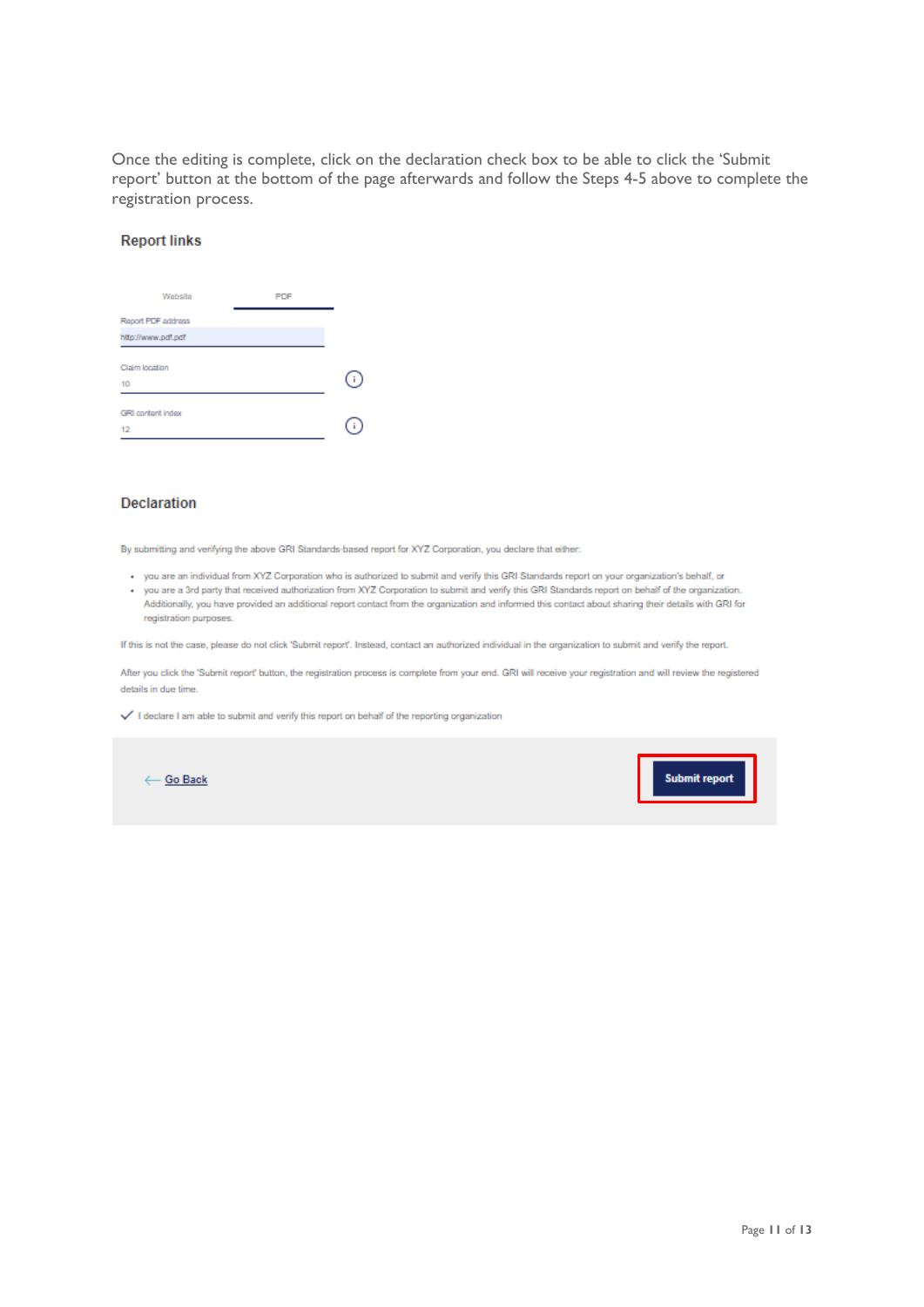Once the editing is complete, click on the declaration check box to be able to click the 'Submit report' button at the bottom of the page afterwards and follow the Steps 4-5 above to complete the registration process.

#### **Report links**

| Website                                  | PDF |  |
|------------------------------------------|-----|--|
| Report PDF address<br>http://www.pdf.pdf |     |  |
| Claim location<br>10                     |     |  |
| <b>GRI content index</b><br>12           |     |  |

### **Declaration**

By submitting and verifying the above GRI Standards-based report for XYZ Corporation, you declare that either:

- you are an individual from XYZ Corporation who is authorized to submit and verify this GRI Standards report on your organization's behalf, or
- you are a 3rd party that received authorization from XYZ Corporation to submit and verify this GRI Standards report on behalf of the organization. Additionally, you have provided an additional report contact from the organization and informed this contact about sharing their details with GRI for registration purposes.

If this is not the case, please do not click 'Submit report'. Instead, contact an authorized individual in the organization to submit and verify the report.

After you click the 'Submit report' button, the registration process is complete from your end. GRI will receive your registration and will review the registered details in due time.

 $\checkmark$  I declare I am able to submit and verify this report on behalf of the reporting organization

← Go Back

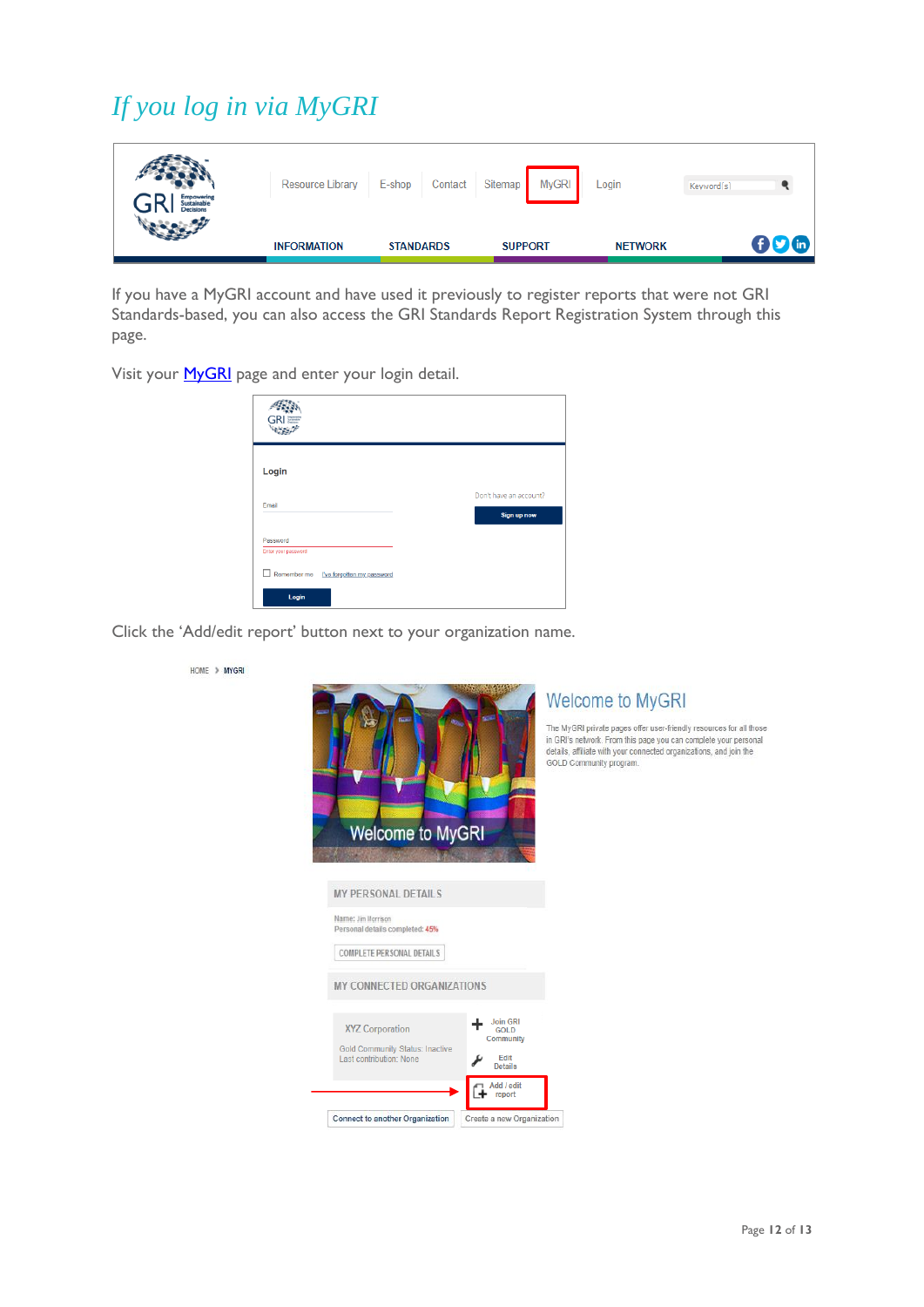# <span id="page-12-0"></span>*If you log in via MyGRI*

| <b>Empowering</b><br>Sustainable<br><b>Decisions</b> | Resource Library   | E-shop<br>Contact | <b>MyGRI</b><br>Sitemap | Login          | Keyword(s) |
|------------------------------------------------------|--------------------|-------------------|-------------------------|----------------|------------|
|                                                      | <b>INFORMATION</b> | <b>STANDARDS</b>  | <b>SUPPORT</b>          | <b>NETWORK</b> | 006        |

If you have a MyGRI account and have used it previously to register reports that were not GRI Standards-based, you can also access the GRI Standards Report Registration System through this page.

Visit your **MyGRI** page and enter your login detail.

| Login                           |                        |
|---------------------------------|------------------------|
| Email                           | Don't have an account? |
|                                 | Sign up now            |
| Password<br>Enter your password |                        |
|                                 |                        |
| Login                           |                        |

Click the 'Add/edit report' button next to your organization name.

| <b>Welcome to MyGRI</b>                                                                                                                               | <b>Welcome to MyGRI</b><br>The MyGRI private pages offer user-friendly resources for all those<br>in GRI's network. From this page you can complete your personal<br>details, affiliate with your connected organizations, and join the<br>GOLD Community program. |
|-------------------------------------------------------------------------------------------------------------------------------------------------------|--------------------------------------------------------------------------------------------------------------------------------------------------------------------------------------------------------------------------------------------------------------------|
| <b>MY PERSONAL DETAILS</b><br>Name: Jim Morrison<br>Personal details completed: 45%<br><b>COMPLETE PERSONAL DETAILS</b><br>MY CONNECTED ORGANIZATIONS |                                                                                                                                                                                                                                                                    |
| <b>XYZ Corporation</b><br><b>Gold Community Status: Inactive</b><br>Last contribution: None<br>Connect to another Organization                        | <b>Join GRI</b><br><b>GOLD</b><br>Community<br>Edit<br><b>Details</b><br>Add / edit<br>report<br>Create a new Organization                                                                                                                                         |

HOME > MYGRI